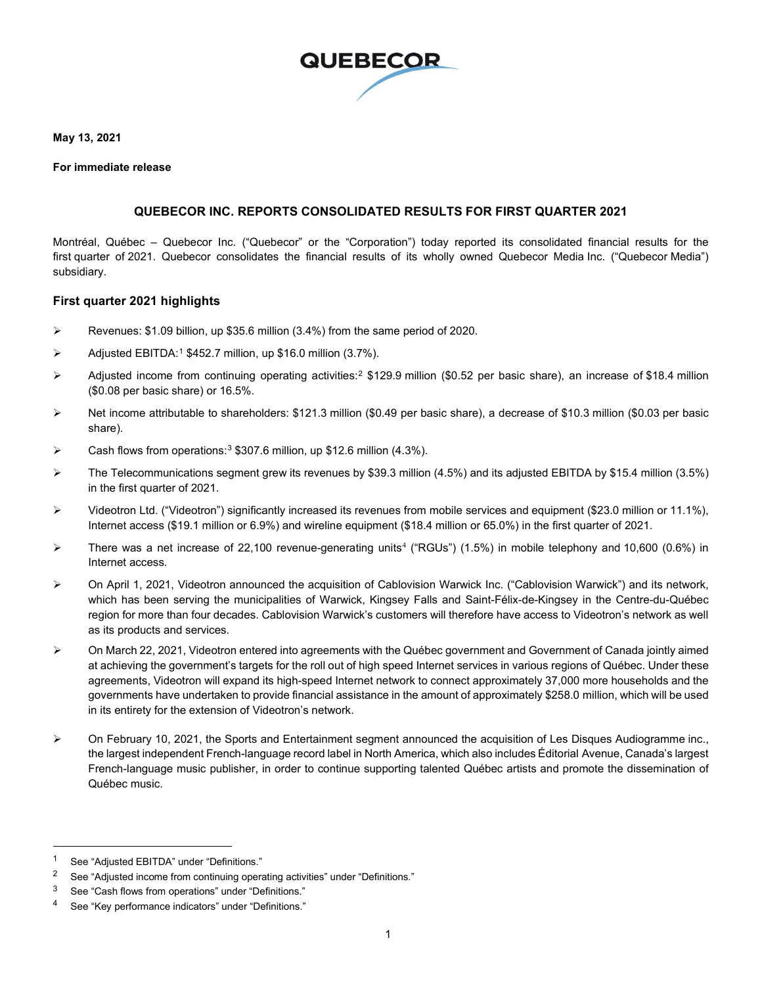

**May 13, 2021**

#### **For immediate release**

#### **QUEBECOR INC. REPORTS CONSOLIDATED RESULTS FOR FIRST QUARTER 2021**

Montréal, Québec – Quebecor Inc. ("Quebecor" or the "Corporation") today reported its consolidated financial results for the first quarter of 2021. Quebecor consolidates the financial results of its wholly owned Quebecor Media Inc. ("Quebecor Media") subsidiary.

#### **First quarter 2021 highlights**

- Revenues: \$1.09 billion, up \$35.6 million (3.4%) from the same period of 2020.
- $\triangleright$  Adjusted EBITDA:<sup>[1](#page-0-0)</sup> \$452.7 million, up \$16.0 million (3.7%).
- $\triangleright$  Adjusted income from continuing operating activities:<sup>[2](#page-0-1)</sup> \$129.9 million (\$0.52 per basic share), an increase of \$18.4 million (\$0.08 per basic share) or 16.5%.
- Net income attributable to shareholders: \$121.3 million (\$0.49 per basic share), a decrease of \$10.3 million (\$0.03 per basic share).
- $\triangleright$  Cash flows from operations:<sup>[3](#page-0-2)</sup> \$307.6 million, up \$12.6 million (4.3%).
- $\triangleright$  The Telecommunications segment grew its revenues by \$39.3 million (4.5%) and its adjusted EBITDA by \$15.4 million (3.5%) in the first quarter of 2021.
- Videotron Ltd. ("Videotron") significantly increased its revenues from mobile services and equipment (\$23.0 million or 11.1%), Internet access (\$19.1 million or 6.9%) and wireline equipment (\$18.4 million or 65.0%) in the first quarter of 2021.
- There was a net increase of 22,100 revenue-generating units<sup>[4](#page-0-3)</sup> ("RGUs") (1.5%) in mobile telephony and 10,600 (0.6%) in Internet access.
- On April 1, 2021, Videotron announced the acquisition of Cablovision Warwick Inc. ("Cablovision Warwick") and its network, which has been serving the municipalities of Warwick, Kingsey Falls and Saint-Félix-de-Kingsey in the Centre-du-Québec region for more than four decades. Cablovision Warwick's customers will therefore have access to Videotron's network as well as its products and services.
- On March 22, 2021, Videotron entered into agreements with the Québec government and Government of Canada jointly aimed at achieving the government's targets for the roll out of high speed Internet services in various regions of Québec. Under these agreements, Videotron will expand its high-speed Internet network to connect approximately 37,000 more households and the governments have undertaken to provide financial assistance in the amount of approximately \$258.0 million, which will be used in its entirety for the extension of Videotron's network.
- $\triangleright$  On February 10, 2021, the Sports and Entertainment segment announced the acquisition of Les Disques Audiogramme inc., the largest independent French-language record label in North America, which also includes Éditorial Avenue, Canada's largest French-language music publisher, in order to continue supporting talented Québec artists and promote the dissemination of Québec music.

<span id="page-0-0"></span><sup>1</sup> See "Adjusted EBITDA" under "Definitions."

<span id="page-0-1"></span><sup>&</sup>lt;sup>2</sup> See "Adjusted income from continuing operating activities" under "Definitions."

<span id="page-0-2"></span><sup>3</sup> See "Cash flows from operations" under "Definitions."

<span id="page-0-3"></span><sup>4</sup> See "Key performance indicators" under "Definitions."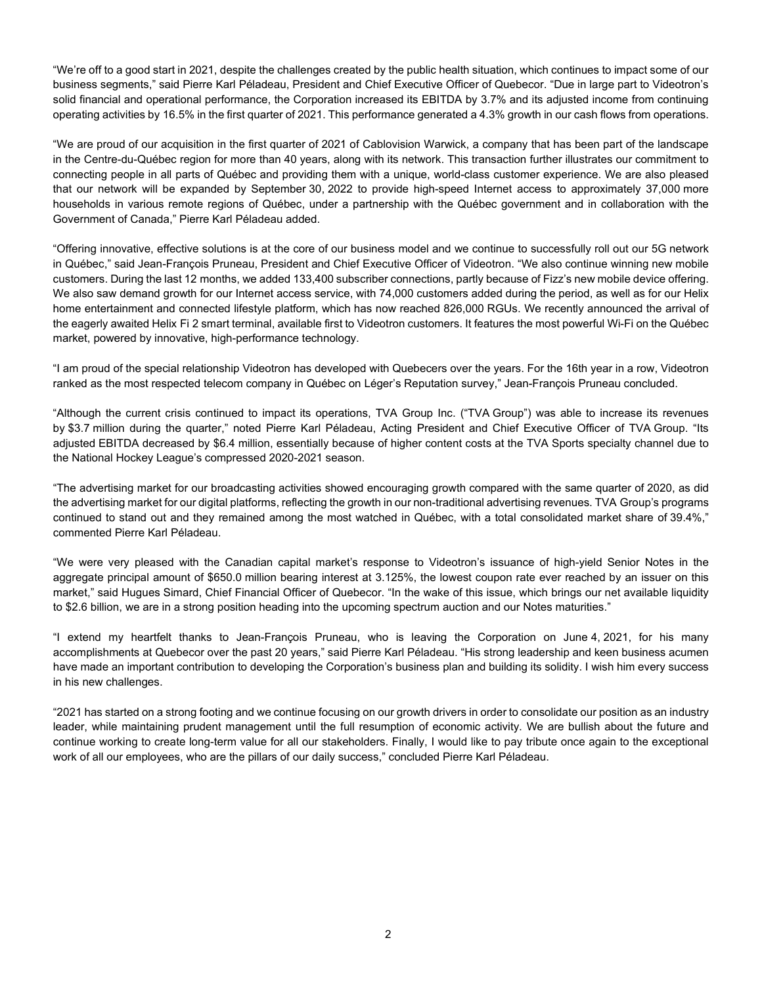"We're off to a good start in 2021, despite the challenges created by the public health situation, which continues to impact some of our business segments," said Pierre Karl Péladeau, President and Chief Executive Officer of Quebecor. "Due in large part to Videotron's solid financial and operational performance, the Corporation increased its EBITDA by 3.7% and its adjusted income from continuing operating activities by 16.5% in the first quarter of 2021. This performance generated a 4.3% growth in our cash flows from operations.

"We are proud of our acquisition in the first quarter of 2021 of Cablovision Warwick, a company that has been part of the landscape in the Centre-du-Québec region for more than 40 years, along with its network. This transaction further illustrates our commitment to connecting people in all parts of Québec and providing them with a unique, world-class customer experience. We are also pleased that our network will be expanded by September 30, 2022 to provide high-speed Internet access to approximately 37,000 more households in various remote regions of Québec, under a partnership with the Québec government and in collaboration with the Government of Canada," Pierre Karl Péladeau added.

"Offering innovative, effective solutions is at the core of our business model and we continue to successfully roll out our 5G network in Québec," said Jean-François Pruneau, President and Chief Executive Officer of Videotron. "We also continue winning new mobile customers. During the last 12 months, we added 133,400 subscriber connections, partly because of Fizz's new mobile device offering. We also saw demand growth for our Internet access service, with 74,000 customers added during the period, as well as for our Helix home entertainment and connected lifestyle platform, which has now reached 826,000 RGUs. We recently announced the arrival of the eagerly awaited Helix Fi 2 smart terminal, available first to Videotron customers. It features the most powerful Wi-Fi on the Québec market, powered by innovative, high-performance technology.

"I am proud of the special relationship Videotron has developed with Quebecers over the years. For the 16th year in a row, Videotron ranked as the most respected telecom company in Québec on Léger's Reputation survey," Jean-François Pruneau concluded.

"Although the current crisis continued to impact its operations, TVA Group Inc. ("TVA Group") was able to increase its revenues by \$3.7 million during the quarter," noted Pierre Karl Péladeau, Acting President and Chief Executive Officer of TVA Group. "Its adjusted EBITDA decreased by \$6.4 million, essentially because of higher content costs at the TVA Sports specialty channel due to the National Hockey League's compressed 2020-2021 season.

"The advertising market for our broadcasting activities showed encouraging growth compared with the same quarter of 2020, as did the advertising market for our digital platforms, reflecting the growth in our non-traditional advertising revenues. TVA Group's programs continued to stand out and they remained among the most watched in Québec, with a total consolidated market share of 39.4%," commented Pierre Karl Péladeau.

"We were very pleased with the Canadian capital market's response to Videotron's issuance of high-yield Senior Notes in the aggregate principal amount of \$650.0 million bearing interest at 3.125%, the lowest coupon rate ever reached by an issuer on this market," said Hugues Simard, Chief Financial Officer of Quebecor. "In the wake of this issue, which brings our net available liquidity to \$2.6 billion, we are in a strong position heading into the upcoming spectrum auction and our Notes maturities."

"I extend my heartfelt thanks to Jean-François Pruneau, who is leaving the Corporation on June 4, 2021, for his many accomplishments at Quebecor over the past 20 years," said Pierre Karl Péladeau. "His strong leadership and keen business acumen have made an important contribution to developing the Corporation's business plan and building its solidity. I wish him every success in his new challenges.

"2021 has started on a strong footing and we continue focusing on our growth drivers in order to consolidate our position as an industry leader, while maintaining prudent management until the full resumption of economic activity. We are bullish about the future and continue working to create long-term value for all our stakeholders. Finally, I would like to pay tribute once again to the exceptional work of all our employees, who are the pillars of our daily success," concluded Pierre Karl Péladeau.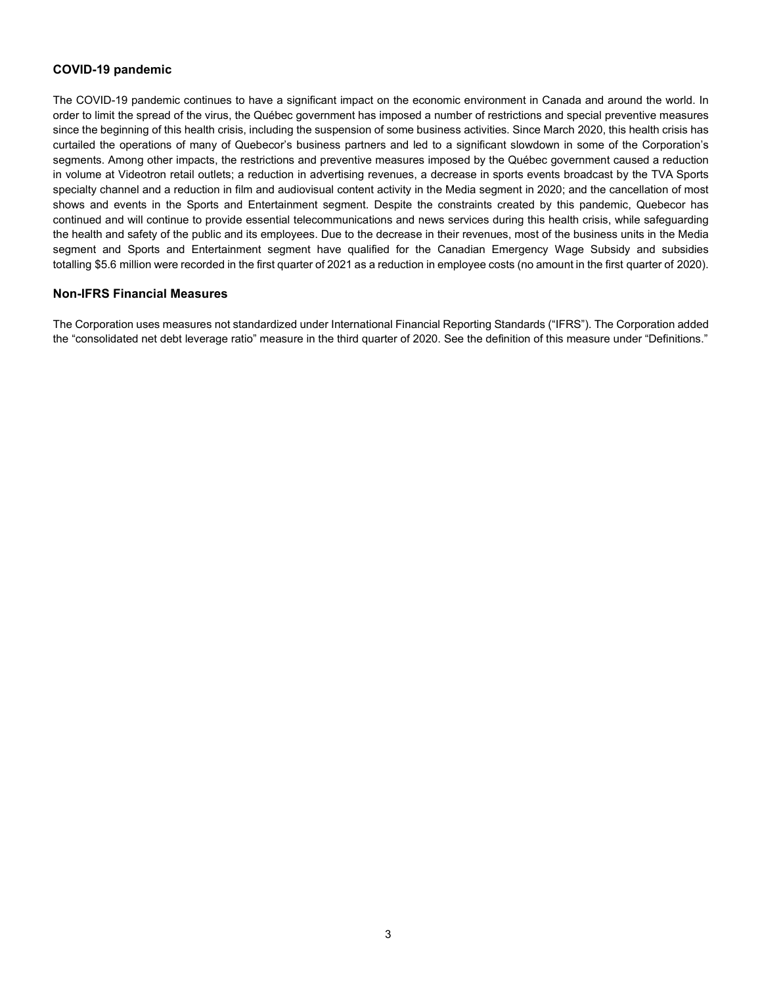#### **COVID-19 pandemic**

The COVID-19 pandemic continues to have a significant impact on the economic environment in Canada and around the world. In order to limit the spread of the virus, the Québec government has imposed a number of restrictions and special preventive measures since the beginning of this health crisis, including the suspension of some business activities. Since March 2020, this health crisis has curtailed the operations of many of Quebecor's business partners and led to a significant slowdown in some of the Corporation's segments. Among other impacts, the restrictions and preventive measures imposed by the Québec government caused a reduction in volume at Videotron retail outlets; a reduction in advertising revenues, a decrease in sports events broadcast by the TVA Sports specialty channel and a reduction in film and audiovisual content activity in the Media segment in 2020; and the cancellation of most shows and events in the Sports and Entertainment segment. Despite the constraints created by this pandemic, Quebecor has continued and will continue to provide essential telecommunications and news services during this health crisis, while safeguarding the health and safety of the public and its employees. Due to the decrease in their revenues, most of the business units in the Media segment and Sports and Entertainment segment have qualified for the Canadian Emergency Wage Subsidy and subsidies totalling \$5.6 million were recorded in the first quarter of 2021 as a reduction in employee costs (no amount in the first quarter of 2020).

#### **Non-IFRS Financial Measures**

The Corporation uses measures not standardized under International Financial Reporting Standards ("IFRS"). The Corporation added the "consolidated net debt leverage ratio" measure in the third quarter of 2020. See the definition of this measure under "Definitions."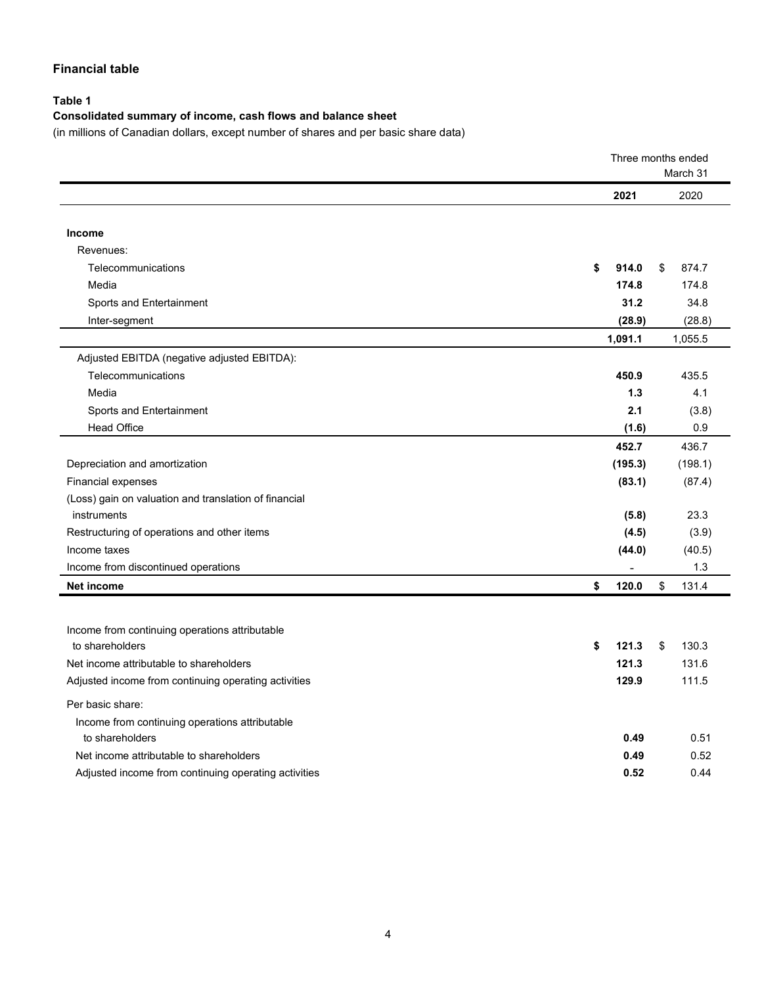### **Financial table**

## **Table 1**

## **Consolidated summary of income, cash flows and balance sheet**

(in millions of Canadian dollars, except number of shares and per basic share data)

|                                                       |             | Three months ended |
|-------------------------------------------------------|-------------|--------------------|
|                                                       |             | March 31           |
|                                                       | 2021        | 2020               |
|                                                       |             |                    |
| Income                                                |             |                    |
| Revenues:                                             |             |                    |
| Telecommunications                                    | \$<br>914.0 | \$<br>874.7        |
| Media                                                 | 174.8       | 174.8              |
| Sports and Entertainment                              | 31.2        | 34.8               |
| Inter-segment                                         | (28.9)      | (28.8)             |
|                                                       | 1,091.1     | 1,055.5            |
| Adjusted EBITDA (negative adjusted EBITDA):           |             |                    |
| Telecommunications                                    | 450.9       | 435.5              |
| Media                                                 | 1.3         | 4.1                |
| Sports and Entertainment                              | 2.1         | (3.8)              |
| <b>Head Office</b>                                    | (1.6)       | 0.9                |
|                                                       | 452.7       | 436.7              |
| Depreciation and amortization                         | (195.3)     | (198.1)            |
| <b>Financial expenses</b>                             | (83.1)      | (87.4)             |
| (Loss) gain on valuation and translation of financial |             |                    |
| instruments                                           | (5.8)       | 23.3               |
| Restructuring of operations and other items           | (4.5)       | (3.9)              |
| Income taxes                                          | (44.0)      | (40.5)             |
| Income from discontinued operations                   |             | 1.3                |
| Net income                                            | \$<br>120.0 | \$<br>131.4        |
|                                                       |             |                    |
| Income from continuing operations attributable        |             |                    |
| to shareholders                                       | \$<br>121.3 | 130.3<br>\$        |
| Net income attributable to shareholders               | 121.3       | 131.6              |
| Adjusted income from continuing operating activities  | 129.9       | 111.5              |
| Per basic share:                                      |             |                    |
| Income from continuing operations attributable        |             |                    |
| to shareholders                                       | 0.49        | 0.51               |
| Net income attributable to shareholders               | 0.49        | 0.52               |
| Adjusted income from continuing operating activities  | 0.52        | 0.44               |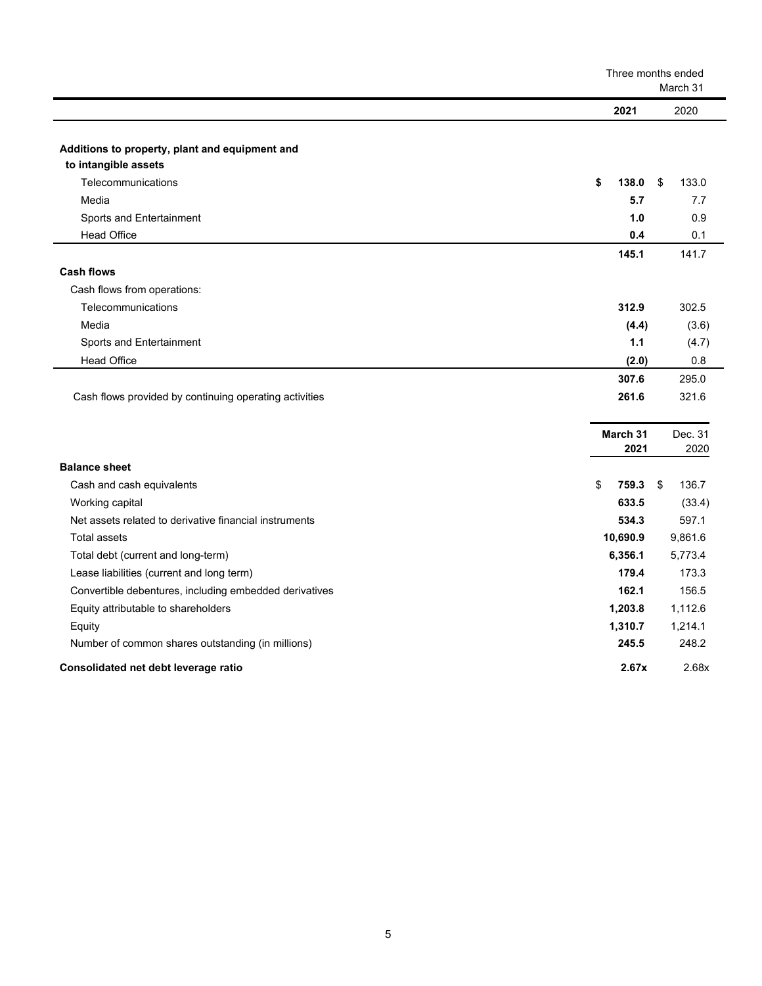|                                                        |             | Three months ended<br>March 31 |  |  |
|--------------------------------------------------------|-------------|--------------------------------|--|--|
|                                                        | 2021        | 2020                           |  |  |
|                                                        |             |                                |  |  |
| Additions to property, plant and equipment and         |             |                                |  |  |
| to intangible assets                                   |             |                                |  |  |
| Telecommunications                                     | \$<br>138.0 | \$<br>133.0                    |  |  |
| Media                                                  | 5.7         | 7.7                            |  |  |
| Sports and Entertainment                               | 1.0         | 0.9                            |  |  |
| <b>Head Office</b>                                     | 0.4         | 0.1                            |  |  |
|                                                        | 145.1       | 141.7                          |  |  |
| <b>Cash flows</b>                                      |             |                                |  |  |
| Cash flows from operations:                            |             |                                |  |  |
| Telecommunications                                     | 312.9       | 302.5                          |  |  |
| Media                                                  | (4.4)       | (3.6)                          |  |  |
| Sports and Entertainment                               | 1.1         | (4.7)                          |  |  |
| <b>Head Office</b>                                     | (2.0)       | 0.8                            |  |  |
|                                                        | 307.6       | 295.0                          |  |  |
| Cash flows provided by continuing operating activities | 261.6       | 321.6                          |  |  |
|                                                        |             |                                |  |  |
|                                                        | March 31    | Dec. 31                        |  |  |
|                                                        | 2021        | 2020                           |  |  |
| <b>Balance sheet</b>                                   |             |                                |  |  |
| Cash and cash equivalents                              | \$<br>759.3 | \$<br>136.7                    |  |  |
| Working capital                                        | 633.5       | (33.4)                         |  |  |
| Net assets related to derivative financial instruments | 534.3       | 597.1                          |  |  |
| <b>Total assets</b>                                    | 10,690.9    | 9,861.6                        |  |  |
| Total debt (current and long-term)                     | 6,356.1     | 5,773.4                        |  |  |
| Lease liabilities (current and long term)              | 179.4       | 173.3                          |  |  |
| Convertible debentures, including embedded derivatives | 162.1       | 156.5                          |  |  |
| Equity attributable to shareholders                    | 1,203.8     | 1,112.6                        |  |  |
| Equity                                                 | 1,310.7     | 1,214.1                        |  |  |
| Number of common shares outstanding (in millions)      | 245.5       | 248.2                          |  |  |
| Consolidated net debt leverage ratio                   | 2.67x       | 2.68x                          |  |  |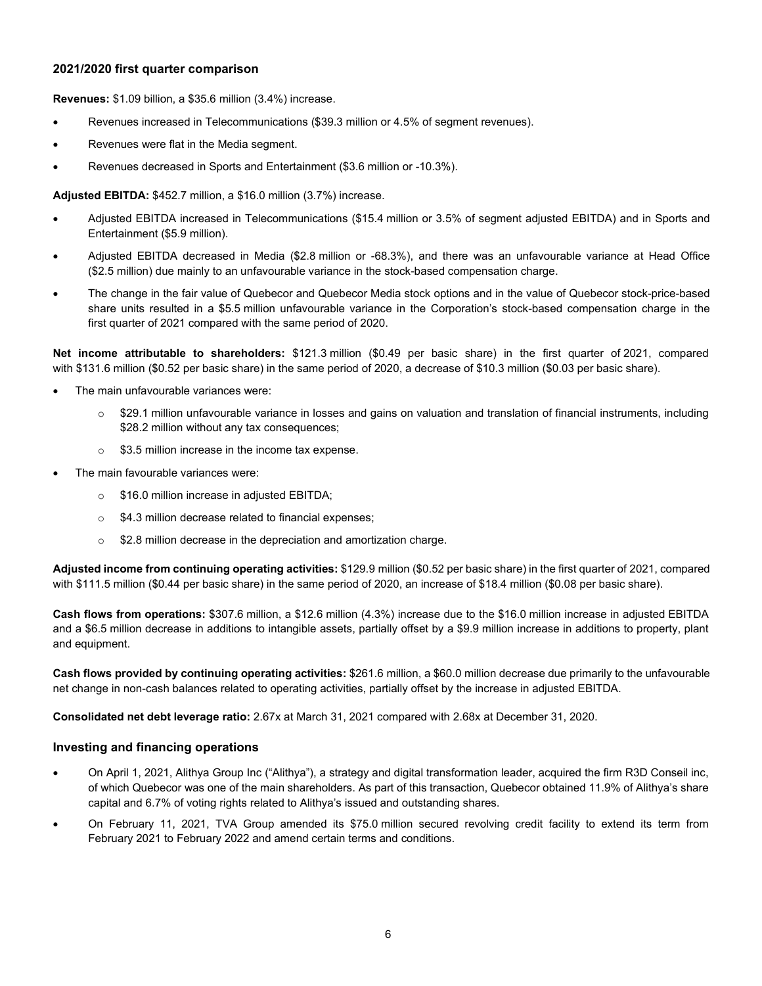#### **2021/2020 first quarter comparison**

**Revenues:** \$1.09 billion, a \$35.6 million (3.4%) increase.

- Revenues increased in Telecommunications (\$39.3 million or 4.5% of segment revenues).
- Revenues were flat in the Media segment.
- Revenues decreased in Sports and Entertainment (\$3.6 million or -10.3%).

**Adjusted EBITDA:** \$452.7 million, a \$16.0 million (3.7%) increase.

- Adjusted EBITDA increased in Telecommunications (\$15.4 million or 3.5% of segment adjusted EBITDA) and in Sports and Entertainment (\$5.9 million).
- Adjusted EBITDA decreased in Media (\$2.8 million or -68.3%), and there was an unfavourable variance at Head Office (\$2.5 million) due mainly to an unfavourable variance in the stock-based compensation charge.
- The change in the fair value of Quebecor and Quebecor Media stock options and in the value of Quebecor stock-price-based share units resulted in a \$5.5 million unfavourable variance in the Corporation's stock-based compensation charge in the first quarter of 2021 compared with the same period of 2020.

**Net income attributable to shareholders:** \$121.3 million (\$0.49 per basic share) in the first quarter of 2021, compared with \$131.6 million (\$0.52 per basic share) in the same period of 2020, a decrease of \$10.3 million (\$0.03 per basic share).

- The main unfavourable variances were:
	- $\circ$  \$29.1 million unfavourable variance in losses and gains on valuation and translation of financial instruments, including \$28.2 million without any tax consequences;
	- $\circ$  \$3.5 million increase in the income tax expense.
- The main favourable variances were:
	- o \$16.0 million increase in adjusted EBITDA;
	- o \$4.3 million decrease related to financial expenses;
	- $\circ$  \$2.8 million decrease in the depreciation and amortization charge.

**Adjusted income from continuing operating activities:** \$129.9 million (\$0.52 per basic share) in the first quarter of 2021, compared with \$111.5 million (\$0.44 per basic share) in the same period of 2020, an increase of \$18.4 million (\$0.08 per basic share).

**Cash flows from operations:** \$307.6 million, a \$12.6 million (4.3%) increase due to the \$16.0 million increase in adjusted EBITDA and a \$6.5 million decrease in additions to intangible assets, partially offset by a \$9.9 million increase in additions to property, plant and equipment.

**Cash flows provided by continuing operating activities:** \$261.6 million, a \$60.0 million decrease due primarily to the unfavourable net change in non-cash balances related to operating activities, partially offset by the increase in adjusted EBITDA.

**Consolidated net debt leverage ratio:** 2.67x at March 31, 2021 compared with 2.68x at December 31, 2020.

#### **Investing and financing operations**

- On April 1, 2021, Alithya Group Inc ("Alithya"), a strategy and digital transformation leader, acquired the firm R3D Conseil inc, of which Quebecor was one of the main shareholders. As part of this transaction, Quebecor obtained 11.9% of Alithya's share capital and 6.7% of voting rights related to Alithya's issued and outstanding shares.
- On February 11, 2021, TVA Group amended its \$75.0 million secured revolving credit facility to extend its term from February 2021 to February 2022 and amend certain terms and conditions.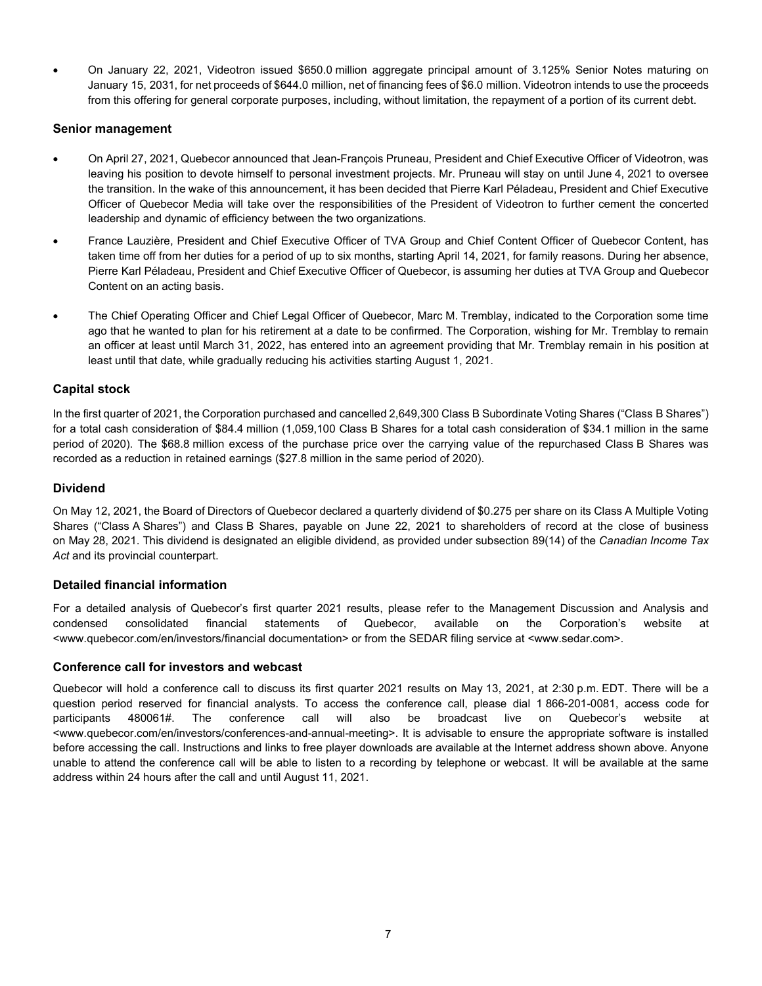• On January 22, 2021, Videotron issued \$650.0 million aggregate principal amount of 3.125% Senior Notes maturing on January 15, 2031, for net proceeds of \$644.0 million, net of financing fees of \$6.0 million. Videotron intends to use the proceeds from this offering for general corporate purposes, including, without limitation, the repayment of a portion of its current debt.

#### **Senior management**

- On April 27, 2021, Quebecor announced that Jean-François Pruneau, President and Chief Executive Officer of Videotron, was leaving his position to devote himself to personal investment projects. Mr. Pruneau will stay on until June 4, 2021 to oversee the transition. In the wake of this announcement, it has been decided that Pierre Karl Péladeau, President and Chief Executive Officer of Quebecor Media will take over the responsibilities of the President of Videotron to further cement the concerted leadership and dynamic of efficiency between the two organizations.
- France Lauzière, President and Chief Executive Officer of TVA Group and Chief Content Officer of Quebecor Content, has taken time off from her duties for a period of up to six months, starting April 14, 2021, for family reasons. During her absence, Pierre Karl Péladeau, President and Chief Executive Officer of Quebecor, is assuming her duties at TVA Group and Quebecor Content on an acting basis.
- The Chief Operating Officer and Chief Legal Officer of Quebecor, Marc M. Tremblay, indicated to the Corporation some time ago that he wanted to plan for his retirement at a date to be confirmed. The Corporation, wishing for Mr. Tremblay to remain an officer at least until March 31, 2022, has entered into an agreement providing that Mr. Tremblay remain in his position at least until that date, while gradually reducing his activities starting August 1, 2021.

#### **Capital stock**

In the first quarter of 2021, the Corporation purchased and cancelled 2,649,300 Class B Subordinate Voting Shares ("Class B Shares") for a total cash consideration of \$84.4 million (1,059,100 Class B Shares for a total cash consideration of \$34.1 million in the same period of 2020). The \$68.8 million excess of the purchase price over the carrying value of the repurchased Class B Shares was recorded as a reduction in retained earnings (\$27.8 million in the same period of 2020).

#### **Dividend**

On May 12, 2021, the Board of Directors of Quebecor declared a quarterly dividend of \$0.275 per share on its Class A Multiple Voting Shares ("Class A Shares") and Class B Shares, payable on June 22, 2021 to shareholders of record at the close of business on May 28, 2021. This dividend is designated an eligible dividend, as provided under subsection 89(14) of the *Canadian Income Tax Act* and its provincial counterpart.

#### **Detailed financial information**

For a detailed analysis of Quebecor's first quarter 2021 results, please refer to the Management Discussion and Analysis and condensed consolidated financial statements of Quebecor, available on the Corporation's website at <www.quebecor.com/en/investors/financial documentation> or from the SEDAR filing service at <www.sedar.com>.

#### **Conference call for investors and webcast**

Quebecor will hold a conference call to discuss its first quarter 2021 results on May 13, 2021, at 2:30 p.m. EDT. There will be a question period reserved for financial analysts. To access the conference call, please dial 1 866-201-0081, access code for participants 480061#. The conference call will also be broadcast live on Quebecor's website at <www.quebecor.com/en/investors/conferences-and-annual-meeting>. It is advisable to ensure the appropriate software is installed before accessing the call. Instructions and links to free player downloads are available at the Internet address shown above. Anyone unable to attend the conference call will be able to listen to a recording by telephone or webcast. It will be available at the same address within 24 hours after the call and until August 11, 2021.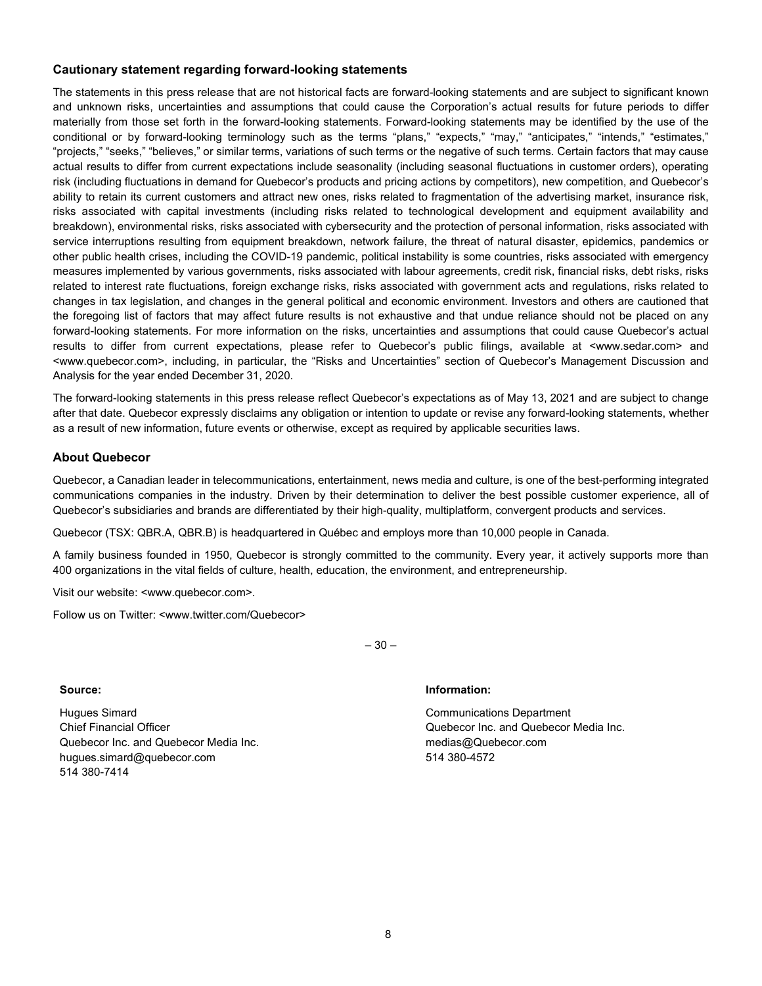#### **Cautionary statement regarding forward-looking statements**

The statements in this press release that are not historical facts are forward-looking statements and are subject to significant known and unknown risks, uncertainties and assumptions that could cause the Corporation's actual results for future periods to differ materially from those set forth in the forward-looking statements. Forward-looking statements may be identified by the use of the conditional or by forward-looking terminology such as the terms "plans," "expects," "may," "anticipates," "intends," "estimates," "projects," "seeks," "believes," or similar terms, variations of such terms or the negative of such terms. Certain factors that may cause actual results to differ from current expectations include seasonality (including seasonal fluctuations in customer orders), operating risk (including fluctuations in demand for Quebecor's products and pricing actions by competitors), new competition, and Quebecor's ability to retain its current customers and attract new ones, risks related to fragmentation of the advertising market, insurance risk, risks associated with capital investments (including risks related to technological development and equipment availability and breakdown), environmental risks, risks associated with cybersecurity and the protection of personal information, risks associated with service interruptions resulting from equipment breakdown, network failure, the threat of natural disaster, epidemics, pandemics or other public health crises, including the COVID-19 pandemic, political instability is some countries, risks associated with emergency measures implemented by various governments, risks associated with labour agreements, credit risk, financial risks, debt risks, risks related to interest rate fluctuations, foreign exchange risks, risks associated with government acts and regulations, risks related to changes in tax legislation, and changes in the general political and economic environment. Investors and others are cautioned that the foregoing list of factors that may affect future results is not exhaustive and that undue reliance should not be placed on any forward-looking statements. For more information on the risks, uncertainties and assumptions that could cause Quebecor's actual results to differ from current expectations, please refer to Quebecor's public filings, available at <www.sedar.com> and <www.quebecor.com>, including, in particular, the "Risks and Uncertainties" section of Quebecor's Management Discussion and Analysis for the year ended December 31, 2020.

The forward-looking statements in this press release reflect Quebecor's expectations as of May 13, 2021 and are subject to change after that date. Quebecor expressly disclaims any obligation or intention to update or revise any forward-looking statements, whether as a result of new information, future events or otherwise, except as required by applicable securities laws.

#### **About Quebecor**

Quebecor, a Canadian leader in telecommunications, entertainment, news media and culture, is one of the best-performing integrated communications companies in the industry. Driven by their determination to deliver the best possible customer experience, all of Quebecor's subsidiaries and brands are differentiated by their high-quality, multiplatform, convergent products and services.

Quebecor (TSX: QBR.A, QBR.B) is headquartered in Québec and employs more than 10,000 people in Canada.

A family business founded in 1950, Quebecor is strongly committed to the community. Every year, it actively supports more than 400 organizations in the vital fields of culture, health, education, the environment, and entrepreneurship.

 $-30-$ 

Visit our website: <www.quebecor.com>.

Follow us on Twitter: <www.twitter.com/Quebecor>

Hugues Simard Chief Financial Officer Quebecor Inc. and Quebecor Media Inc. hugues.simard@quebecor.com 514 380-7414

#### **Source: Information:**

Communications Department Quebecor Inc. and Quebecor Media Inc. medias@Quebecor.com 514 380-4572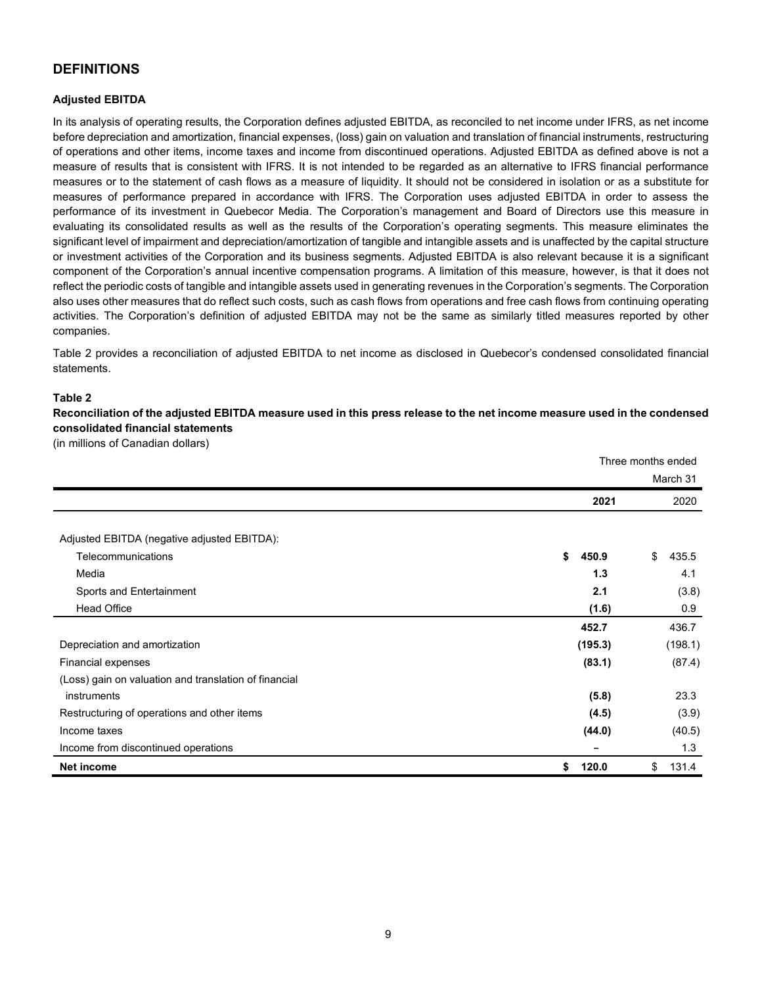## **DEFINITIONS**

#### **Adjusted EBITDA**

In its analysis of operating results, the Corporation defines adjusted EBITDA, as reconciled to net income under IFRS, as net income before depreciation and amortization, financial expenses, (loss) gain on valuation and translation of financial instruments, restructuring of operations and other items, income taxes and income from discontinued operations. Adjusted EBITDA as defined above is not a measure of results that is consistent with IFRS. It is not intended to be regarded as an alternative to IFRS financial performance measures or to the statement of cash flows as a measure of liquidity. It should not be considered in isolation or as a substitute for measures of performance prepared in accordance with IFRS. The Corporation uses adjusted EBITDA in order to assess the performance of its investment in Quebecor Media. The Corporation's management and Board of Directors use this measure in evaluating its consolidated results as well as the results of the Corporation's operating segments. This measure eliminates the significant level of impairment and depreciation/amortization of tangible and intangible assets and is unaffected by the capital structure or investment activities of the Corporation and its business segments. Adjusted EBITDA is also relevant because it is a significant component of the Corporation's annual incentive compensation programs. A limitation of this measure, however, is that it does not reflect the periodic costs of tangible and intangible assets used in generating revenues in the Corporation's segments. The Corporation also uses other measures that do reflect such costs, such as cash flows from operations and free cash flows from continuing operating activities. The Corporation's definition of adjusted EBITDA may not be the same as similarly titled measures reported by other companies.

Table 2 provides a reconciliation of adjusted EBITDA to net income as disclosed in Quebecor's condensed consolidated financial statements.

#### **Table 2**

**Reconciliation of the adjusted EBITDA measure used in this press release to the net income measure used in the condensed consolidated financial statements**

(in millions of Canadian dollars)

|                                                                   | Three months ended |             |  |  |
|-------------------------------------------------------------------|--------------------|-------------|--|--|
|                                                                   |                    | March 31    |  |  |
|                                                                   | 2021               | 2020        |  |  |
|                                                                   |                    |             |  |  |
| Adjusted EBITDA (negative adjusted EBITDA):<br>Telecommunications | \$                 | \$<br>435.5 |  |  |
| Media                                                             | 450.9<br>1.3       |             |  |  |
|                                                                   |                    | 4.1         |  |  |
| Sports and Entertainment                                          | 2.1                | (3.8)       |  |  |
| <b>Head Office</b>                                                | (1.6)              | 0.9         |  |  |
|                                                                   | 452.7              | 436.7       |  |  |
| Depreciation and amortization                                     | (195.3)            | (198.1)     |  |  |
| Financial expenses                                                | (83.1)             | (87.4)      |  |  |
| (Loss) gain on valuation and translation of financial             |                    |             |  |  |
| instruments                                                       | (5.8)              | 23.3        |  |  |
| Restructuring of operations and other items                       | (4.5)              | (3.9)       |  |  |
| Income taxes                                                      | (44.0)             | (40.5)      |  |  |
| Income from discontinued operations                               |                    | 1.3         |  |  |
| <b>Net income</b>                                                 | \$<br>120.0        | \$<br>131.4 |  |  |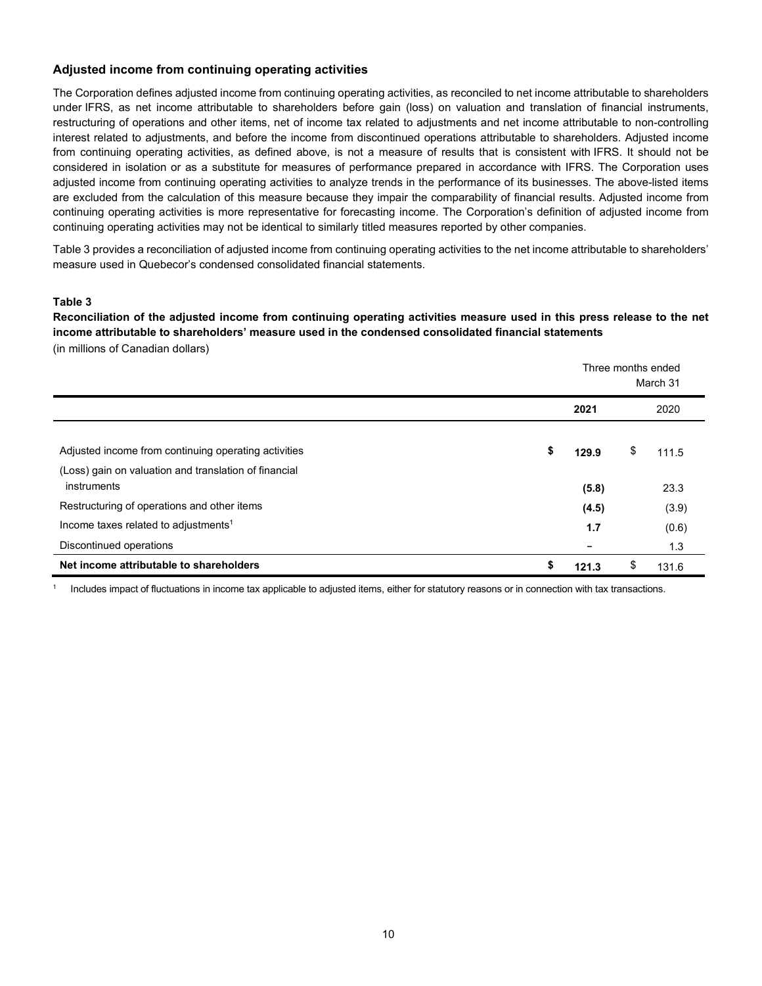#### **Adjusted income from continuing operating activities**

The Corporation defines adjusted income from continuing operating activities, as reconciled to net income attributable to shareholders under IFRS, as net income attributable to shareholders before gain (loss) on valuation and translation of financial instruments, restructuring of operations and other items, net of income tax related to adjustments and net income attributable to non-controlling interest related to adjustments, and before the income from discontinued operations attributable to shareholders. Adjusted income from continuing operating activities, as defined above, is not a measure of results that is consistent with IFRS. It should not be considered in isolation or as a substitute for measures of performance prepared in accordance with IFRS. The Corporation uses adjusted income from continuing operating activities to analyze trends in the performance of its businesses. The above-listed items are excluded from the calculation of this measure because they impair the comparability of financial results. Adjusted income from continuing operating activities is more representative for forecasting income. The Corporation's definition of adjusted income from continuing operating activities may not be identical to similarly titled measures reported by other companies.

Table 3 provides a reconciliation of adjusted income from continuing operating activities to the net income attributable to shareholders' measure used in Quebecor's condensed consolidated financial statements.

#### **Table 3**

**Reconciliation of the adjusted income from continuing operating activities measure used in this press release to the net income attributable to shareholders' measure used in the condensed consolidated financial statements**  (in millions of Canadian dollars)

|                                                                                                               | Three months ended<br>March 31 |    |       |  |  |  |
|---------------------------------------------------------------------------------------------------------------|--------------------------------|----|-------|--|--|--|
|                                                                                                               | 2021                           |    | 2020  |  |  |  |
| Adjusted income from continuing operating activities<br>(Loss) gain on valuation and translation of financial | \$<br>129.9                    | \$ | 111.5 |  |  |  |
| instruments                                                                                                   | (5.8)                          |    | 23.3  |  |  |  |
| Restructuring of operations and other items                                                                   | (4.5)                          |    | (3.9) |  |  |  |
| Income taxes related to adjustments <sup>1</sup>                                                              | 1.7                            |    | (0.6) |  |  |  |
| Discontinued operations                                                                                       |                                |    | 1.3   |  |  |  |
| Net income attributable to shareholders                                                                       | \$<br>121.3                    | \$ | 131.6 |  |  |  |

<sup>1</sup> Includes impact of fluctuations in income tax applicable to adjusted items, either for statutory reasons or in connection with tax transactions.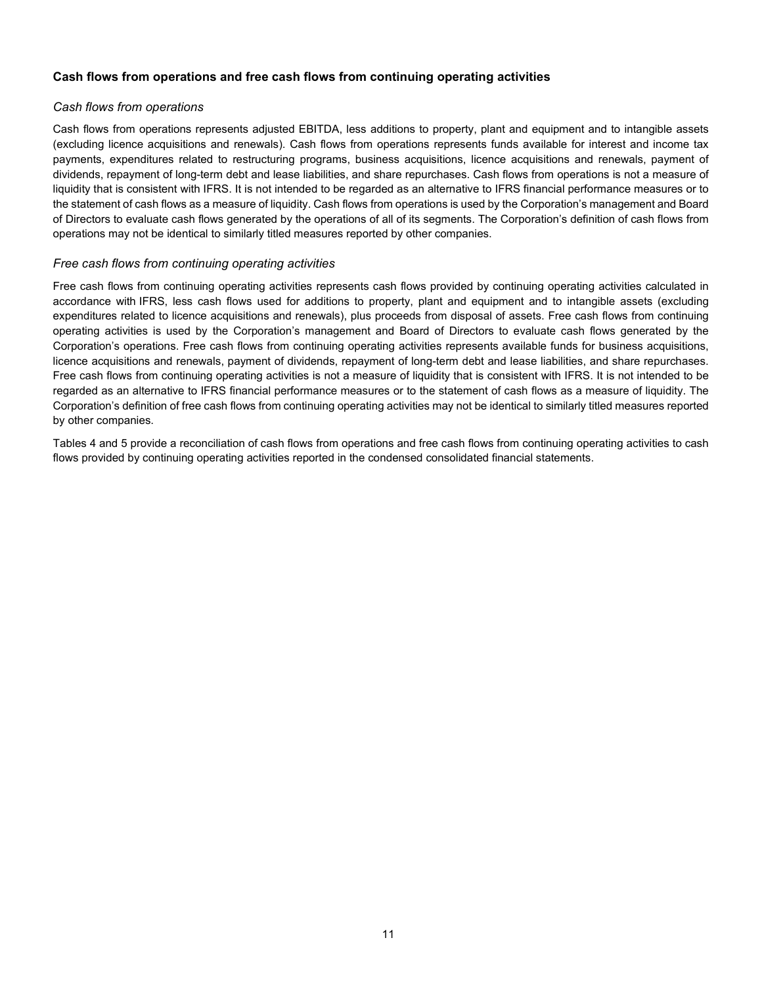#### **Cash flows from operations and free cash flows from continuing operating activities**

#### *Cash flows from operations*

Cash flows from operations represents adjusted EBITDA, less additions to property, plant and equipment and to intangible assets (excluding licence acquisitions and renewals). Cash flows from operations represents funds available for interest and income tax payments, expenditures related to restructuring programs, business acquisitions, licence acquisitions and renewals, payment of dividends, repayment of long-term debt and lease liabilities, and share repurchases. Cash flows from operations is not a measure of liquidity that is consistent with IFRS. It is not intended to be regarded as an alternative to IFRS financial performance measures or to the statement of cash flows as a measure of liquidity. Cash flows from operations is used by the Corporation's management and Board of Directors to evaluate cash flows generated by the operations of all of its segments. The Corporation's definition of cash flows from operations may not be identical to similarly titled measures reported by other companies.

#### *Free cash flows from continuing operating activities*

Free cash flows from continuing operating activities represents cash flows provided by continuing operating activities calculated in accordance with IFRS, less cash flows used for additions to property, plant and equipment and to intangible assets (excluding expenditures related to licence acquisitions and renewals), plus proceeds from disposal of assets. Free cash flows from continuing operating activities is used by the Corporation's management and Board of Directors to evaluate cash flows generated by the Corporation's operations. Free cash flows from continuing operating activities represents available funds for business acquisitions, licence acquisitions and renewals, payment of dividends, repayment of long-term debt and lease liabilities, and share repurchases. Free cash flows from continuing operating activities is not a measure of liquidity that is consistent with IFRS. It is not intended to be regarded as an alternative to IFRS financial performance measures or to the statement of cash flows as a measure of liquidity. The Corporation's definition of free cash flows from continuing operating activities may not be identical to similarly titled measures reported by other companies.

Tables 4 and 5 provide a reconciliation of cash flows from operations and free cash flows from continuing operating activities to cash flows provided by continuing operating activities reported in the condensed consolidated financial statements.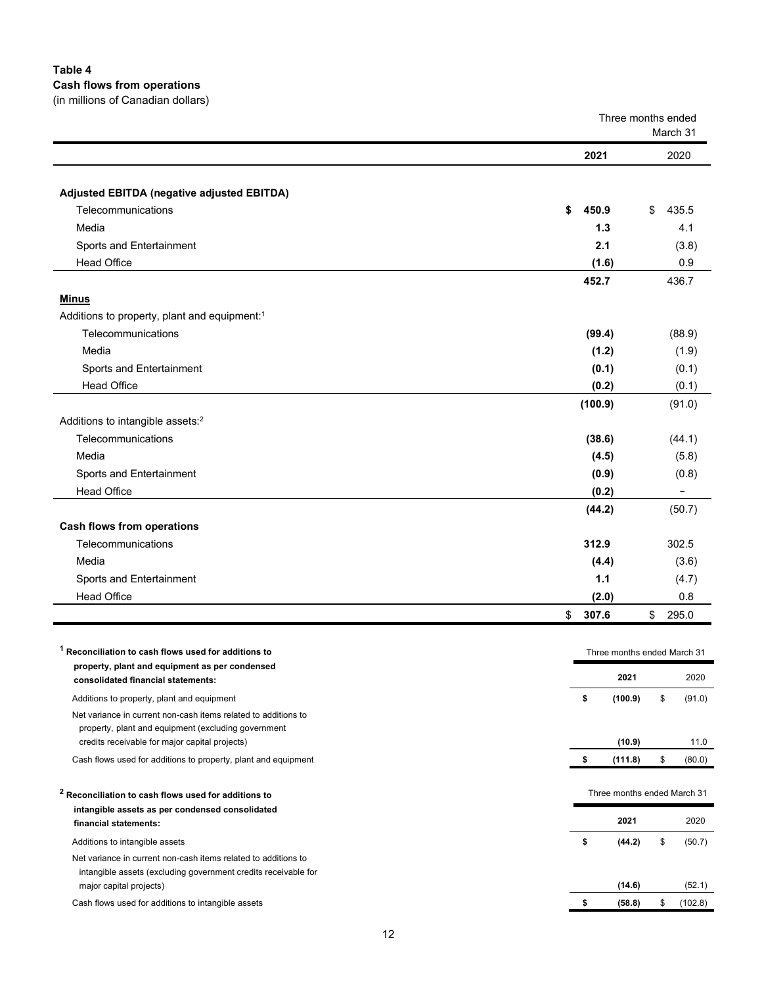## **Table 4**

#### **Cash flows from operations**

(in millions of Canadian dollars)

|                                                                                                       |               | Three months ended<br>March 31 |
|-------------------------------------------------------------------------------------------------------|---------------|--------------------------------|
|                                                                                                       | 2021          | 2020                           |
|                                                                                                       |               |                                |
| Adjusted EBITDA (negative adjusted EBITDA)                                                            |               |                                |
| Telecommunications                                                                                    | \$<br>450.9   | \$<br>435.5                    |
| Media                                                                                                 | 1.3           | 4.1                            |
| Sports and Entertainment                                                                              | 2.1           | (3.8)                          |
| <b>Head Office</b>                                                                                    | (1.6)         | 0.9                            |
|                                                                                                       | 452.7         | 436.7                          |
| <b>Minus</b>                                                                                          |               |                                |
| Additions to property, plant and equipment:1                                                          |               |                                |
| Telecommunications                                                                                    | (99.4)        | (88.9)                         |
| Media                                                                                                 | (1.2)         | (1.9)                          |
| Sports and Entertainment                                                                              | (0.1)         | (0.1)                          |
| <b>Head Office</b>                                                                                    | (0.2)         | (0.1)                          |
|                                                                                                       | (100.9)       | (91.0)                         |
| Additions to intangible assets: <sup>2</sup>                                                          |               |                                |
| Telecommunications                                                                                    | (38.6)        | (44.1)                         |
| Media                                                                                                 | (4.5)         | (5.8)                          |
| Sports and Entertainment                                                                              | (0.9)         | (0.8)                          |
| <b>Head Office</b>                                                                                    | (0.2)         |                                |
|                                                                                                       | (44.2)        | (50.7)                         |
| <b>Cash flows from operations</b>                                                                     |               |                                |
| Telecommunications                                                                                    | 312.9         | 302.5                          |
| Media                                                                                                 | (4.4)         | (3.6)                          |
| Sports and Entertainment                                                                              | 1.1           | (4.7)                          |
| <b>Head Office</b>                                                                                    | (2.0)         | 0.8                            |
|                                                                                                       | \$<br>307.6   | \$<br>295.0                    |
|                                                                                                       |               |                                |
| <sup>1</sup> Reconciliation to cash flows used for additions to                                       |               | Three months ended March 31    |
| property, plant and equipment as per condensed                                                        |               |                                |
| consolidated financial statements:                                                                    | 2021          | 2020                           |
| Additions to property, plant and equipment                                                            | \$<br>(100.9) | \$<br>(91.0)                   |
| Net variance in current non-cash items related to additions to                                        |               |                                |
| property, plant and equipment (excluding government<br>credits receivable for major capital projects) | (10.9)        | 11.0                           |
| Cash flows used for additions to property, plant and equipment                                        | \$<br>(111.8) | \$<br>(0.08)                   |
|                                                                                                       |               |                                |
| <sup>2</sup> Reconciliation to cash flows used for additions to                                       |               | Three months ended March 31    |
| intangible assets as per condensed consolidated                                                       |               |                                |
| financial statements:                                                                                 | 2021          | 2020                           |
| Additions to intangible assets                                                                        | \$<br>(44.2)  | \$<br>(50.7)                   |
| Net variance in current non-cash items related to additions to                                        |               |                                |
| intangible assets (excluding government credits receivable for                                        |               |                                |
| major capital projects)                                                                               | (14.6)        | (52.1)                         |
| Cash flows used for additions to intangible assets                                                    | \$<br>(58.8)  | \$<br>(102.8)                  |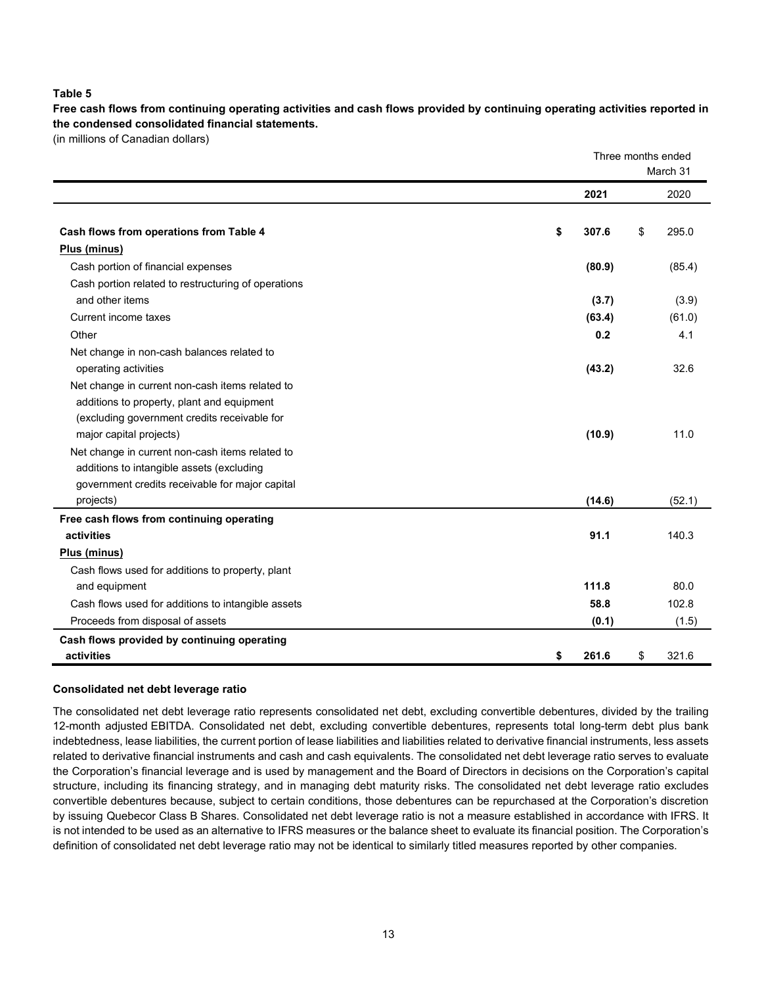#### **Table 5**

**Free cash flows from continuing operating activities and cash flows provided by continuing operating activities reported in the condensed consolidated financial statements.**

(in millions of Canadian dollars)

|                                                     | Three months ended<br>March 31 |    |        |  |
|-----------------------------------------------------|--------------------------------|----|--------|--|
|                                                     | 2021                           |    | 2020   |  |
| Cash flows from operations from Table 4             | \$<br>307.6                    | \$ | 295.0  |  |
| Plus (minus)                                        |                                |    |        |  |
| Cash portion of financial expenses                  | (80.9)                         |    | (85.4) |  |
| Cash portion related to restructuring of operations |                                |    |        |  |
| and other items                                     | (3.7)                          |    | (3.9)  |  |
| Current income taxes                                | (63.4)                         |    | (61.0) |  |
| Other                                               | 0.2                            |    | 4.1    |  |
| Net change in non-cash balances related to          |                                |    |        |  |
| operating activities                                | (43.2)                         |    | 32.6   |  |
| Net change in current non-cash items related to     |                                |    |        |  |
| additions to property, plant and equipment          |                                |    |        |  |
| (excluding government credits receivable for        |                                |    |        |  |
| major capital projects)                             | (10.9)                         |    | 11.0   |  |
| Net change in current non-cash items related to     |                                |    |        |  |
| additions to intangible assets (excluding           |                                |    |        |  |
| government credits receivable for major capital     |                                |    |        |  |
| projects)                                           | (14.6)                         |    | (52.1) |  |
| Free cash flows from continuing operating           |                                |    |        |  |
| activities                                          | 91.1                           |    | 140.3  |  |
| Plus (minus)                                        |                                |    |        |  |
| Cash flows used for additions to property, plant    |                                |    |        |  |
| and equipment                                       | 111.8                          |    | 80.0   |  |
| Cash flows used for additions to intangible assets  | 58.8                           |    | 102.8  |  |
| Proceeds from disposal of assets                    | (0.1)                          |    | (1.5)  |  |
| Cash flows provided by continuing operating         |                                |    |        |  |
| activities                                          | \$<br>261.6                    | \$ | 321.6  |  |

#### **Consolidated net debt leverage ratio**

The consolidated net debt leverage ratio represents consolidated net debt, excluding convertible debentures, divided by the trailing 12-month adjusted EBITDA. Consolidated net debt, excluding convertible debentures, represents total long-term debt plus bank indebtedness, lease liabilities, the current portion of lease liabilities and liabilities related to derivative financial instruments, less assets related to derivative financial instruments and cash and cash equivalents. The consolidated net debt leverage ratio serves to evaluate the Corporation's financial leverage and is used by management and the Board of Directors in decisions on the Corporation's capital structure, including its financing strategy, and in managing debt maturity risks. The consolidated net debt leverage ratio excludes convertible debentures because, subject to certain conditions, those debentures can be repurchased at the Corporation's discretion by issuing Quebecor Class B Shares. Consolidated net debt leverage ratio is not a measure established in accordance with IFRS. It is not intended to be used as an alternative to IFRS measures or the balance sheet to evaluate its financial position. The Corporation's definition of consolidated net debt leverage ratio may not be identical to similarly titled measures reported by other companies.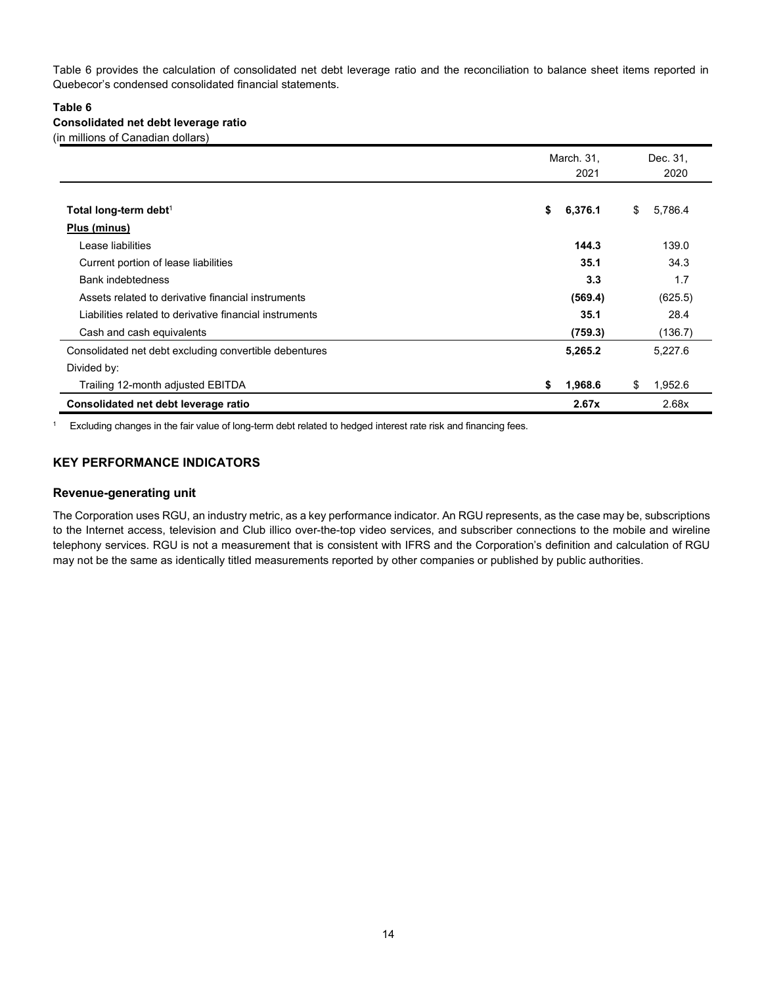Table 6 provides the calculation of consolidated net debt leverage ratio and the reconciliation to balance sheet items reported in Quebecor's condensed consolidated financial statements.

#### **Table 6**

#### **Consolidated net debt leverage ratio**

(in millions of Canadian dollars)

|                                                         | March. 31,<br>2021 | Dec. 31.<br>2020 |
|---------------------------------------------------------|--------------------|------------------|
| Total long-term debt <sup>1</sup>                       | \$<br>6,376.1      | 5,786.4<br>\$    |
| Plus (minus)                                            |                    |                  |
| Lease liabilities                                       | 144.3              | 139.0            |
| Current portion of lease liabilities                    | 35.1               | 34.3             |
| <b>Bank indebtedness</b>                                | 3.3                | 1.7              |
| Assets related to derivative financial instruments      | (569.4)            | (625.5)          |
| Liabilities related to derivative financial instruments | 35.1               | 28.4             |
| Cash and cash equivalents                               | (759.3)            | (136.7)          |
| Consolidated net debt excluding convertible debentures  | 5,265.2            | 5,227.6          |
| Divided by:                                             |                    |                  |
| Trailing 12-month adjusted EBITDA                       | \$<br>1,968.6      | 1,952.6<br>\$    |
| Consolidated net debt leverage ratio                    | 2.67x              | 2.68x            |

<sup>1</sup> Excluding changes in the fair value of long-term debt related to hedged interest rate risk and financing fees.

### **KEY PERFORMANCE INDICATORS**

#### **Revenue-generating unit**

The Corporation uses RGU, an industry metric, as a key performance indicator. An RGU represents, as the case may be, subscriptions to the Internet access, television and Club illico over-the-top video services, and subscriber connections to the mobile and wireline telephony services. RGU is not a measurement that is consistent with IFRS and the Corporation's definition and calculation of RGU may not be the same as identically titled measurements reported by other companies or published by public authorities.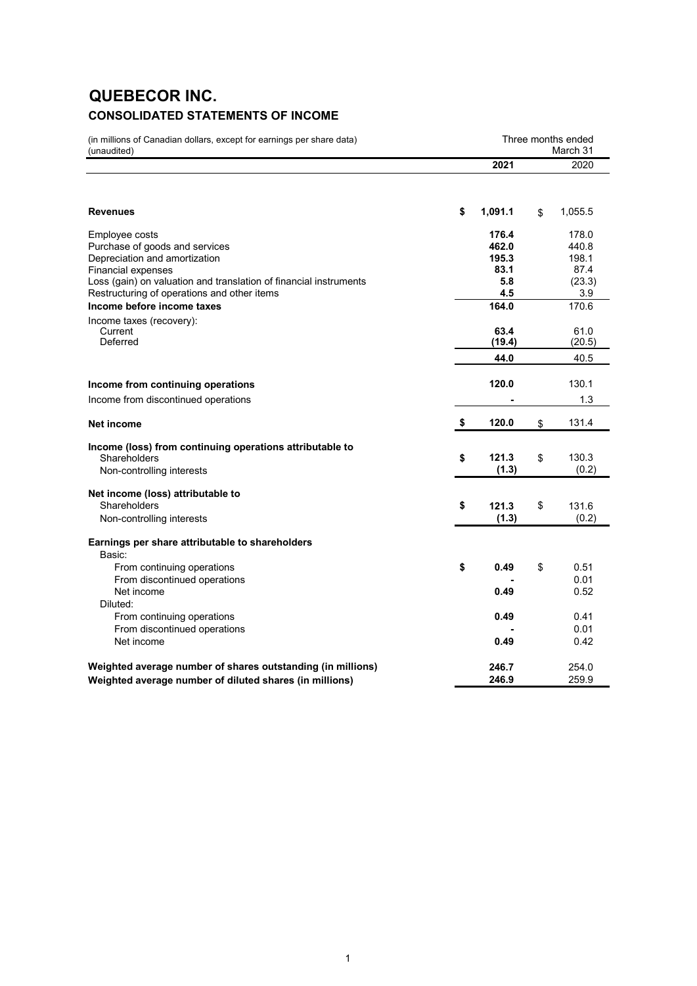## **QUEBECOR INC. CONSOLIDATED STATEMENTS OF INCOME**

(in millions of Canadian dollars, except for earnings per share data) (unaudited)

| (unaudited)                                                                                    |               | March 31       |
|------------------------------------------------------------------------------------------------|---------------|----------------|
|                                                                                                | 2021          | 2020           |
|                                                                                                |               |                |
| <b>Revenues</b>                                                                                | \$<br>1,091.1 | \$<br>1,055.5  |
|                                                                                                |               |                |
| Employee costs                                                                                 | 176.4         | 178.0          |
| Purchase of goods and services                                                                 | 462.0         | 440.8          |
| Depreciation and amortization                                                                  | 195.3         | 198.1          |
| <b>Financial expenses</b><br>Loss (gain) on valuation and translation of financial instruments | 83.1<br>5.8   | 87.4<br>(23.3) |
| Restructuring of operations and other items                                                    | 4.5           | 3.9            |
| Income before income taxes                                                                     | 164.0         | 170.6          |
| Income taxes (recovery):                                                                       |               |                |
| Current                                                                                        | 63.4          | 61.0           |
| Deferred                                                                                       | (19.4)        | (20.5)         |
|                                                                                                | 44.0          | 40.5           |
| Income from continuing operations                                                              | 120.0         | 130.1          |
| Income from discontinued operations                                                            |               | 1.3            |
|                                                                                                |               |                |
| Net income                                                                                     | \$<br>120.0   | \$<br>131.4    |
| Income (loss) from continuing operations attributable to                                       |               |                |
| Shareholders                                                                                   | \$<br>121.3   | \$<br>130.3    |
| Non-controlling interests                                                                      | (1.3)         | (0.2)          |
| Net income (loss) attributable to                                                              |               |                |
| Shareholders                                                                                   | \$<br>121.3   | \$<br>131.6    |
| Non-controlling interests                                                                      | (1.3)         | (0.2)          |
| Earnings per share attributable to shareholders                                                |               |                |
| Basic:                                                                                         |               |                |
| From continuing operations                                                                     | \$<br>0.49    | \$<br>0.51     |
| From discontinued operations                                                                   |               | 0.01           |
| Net income                                                                                     | 0.49          | 0.52           |
| Diluted:                                                                                       |               |                |
| From continuing operations                                                                     | 0.49          | 0.41           |
| From discontinued operations                                                                   |               | 0.01           |
| Net income                                                                                     | 0.49          | 0.42           |
| Weighted average number of shares outstanding (in millions)                                    | 246.7         | 254.0          |
| Weighted average number of diluted shares (in millions)                                        | 246.9         | 259.9          |

Three months ended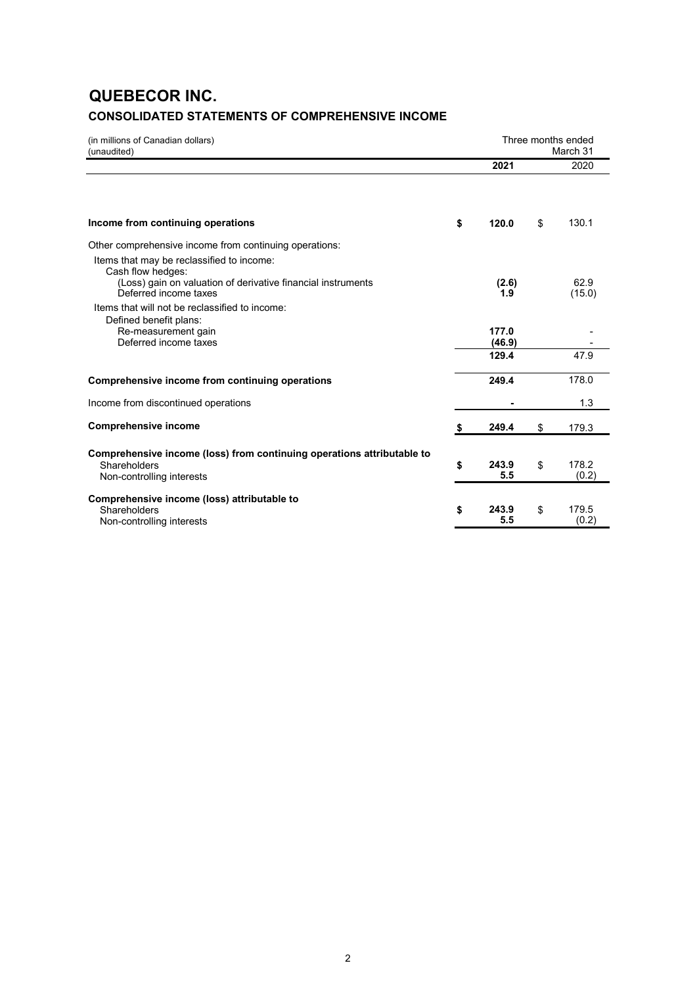## **QUEBECOR INC. CONSOLIDATED STATEMENTS OF COMPREHENSIVE INCOME**

| (in millions of Canadian dollars)<br>(unaudited)                                                                                                        |    | Three months ended<br>March 31 |    |                |  |  |  |  |
|---------------------------------------------------------------------------------------------------------------------------------------------------------|----|--------------------------------|----|----------------|--|--|--|--|
|                                                                                                                                                         |    | 2021                           |    | 2020           |  |  |  |  |
| Income from continuing operations                                                                                                                       | \$ | 120.0                          | \$ | 130.1          |  |  |  |  |
| Other comprehensive income from continuing operations:                                                                                                  |    |                                |    |                |  |  |  |  |
| Items that may be reclassified to income:<br>Cash flow hedges:<br>(Loss) gain on valuation of derivative financial instruments<br>Deferred income taxes |    | (2.6)<br>1.9                   |    | 62.9<br>(15.0) |  |  |  |  |
| Items that will not be reclassified to income:<br>Defined benefit plans:<br>Re-measurement gain<br>Deferred income taxes                                |    | 177.0<br>(46.9)                |    |                |  |  |  |  |
|                                                                                                                                                         |    | 129.4                          |    | 47.9           |  |  |  |  |
| Comprehensive income from continuing operations                                                                                                         |    | 249.4                          |    | 178.0          |  |  |  |  |
| Income from discontinued operations                                                                                                                     |    |                                |    | 1.3            |  |  |  |  |
| <b>Comprehensive income</b>                                                                                                                             | S  | 249.4                          | \$ | 179.3          |  |  |  |  |
| Comprehensive income (loss) from continuing operations attributable to<br>Shareholders<br>Non-controlling interests                                     | \$ | 243.9<br>5.5                   | \$ | 178.2<br>(0.2) |  |  |  |  |
| Comprehensive income (loss) attributable to<br>Shareholders<br>Non-controlling interests                                                                | \$ | 243.9<br>5.5                   | \$ | 179.5<br>(0.2) |  |  |  |  |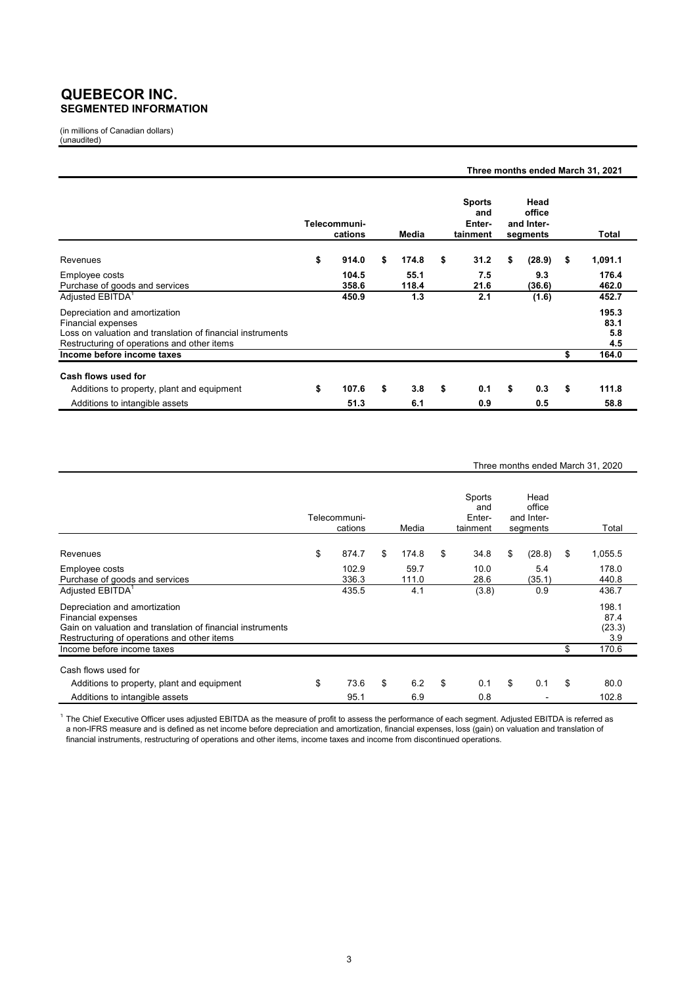### **QUEBECOR INC. SEGMENTED INFORMATION**

(in millions of Canadian dollars) (unaudited)

|                                                                                                                                                                  |                         |               |                                            | Three months ended March 31, 2021        |                             |
|------------------------------------------------------------------------------------------------------------------------------------------------------------------|-------------------------|---------------|--------------------------------------------|------------------------------------------|-----------------------------|
|                                                                                                                                                                  | Telecommuni-<br>cations | Media         | <b>Sports</b><br>and<br>Enter-<br>tainment | Head<br>office<br>and Inter-<br>segments | Total                       |
| Revenues                                                                                                                                                         | \$<br>914.0             | \$<br>174.8   | \$<br>31.2                                 | \$<br>(28.9)                             | \$<br>1,091.1               |
| Employee costs<br>Purchase of goods and services                                                                                                                 | 104.5<br>358.6          | 55.1<br>118.4 | 7.5<br>21.6                                | 9.3<br>(36.6)                            | 176.4<br>462.0              |
| Adjusted EBITDA <sup>1</sup>                                                                                                                                     | 450.9                   | 1.3           | 2.1                                        | (1.6)                                    | 452.7                       |
| Depreciation and amortization<br>Financial expenses<br>Loss on valuation and translation of financial instruments<br>Restructuring of operations and other items |                         |               |                                            |                                          | 195.3<br>83.1<br>5.8<br>4.5 |
| Income before income taxes                                                                                                                                       |                         |               |                                            |                                          | \$<br>164.0                 |
| Cash flows used for                                                                                                                                              |                         |               |                                            |                                          |                             |
| Additions to property, plant and equipment                                                                                                                       | \$<br>107.6             | \$<br>3.8     | \$<br>0.1                                  | \$<br>0.3                                | \$<br>111.8                 |
| Additions to intangible assets                                                                                                                                   | 51.3                    | 6.1           | 0.9                                        | 0.5                                      | 58.8                        |

#### Three months ended March 31, 2020

|                                                                                                                                                                         | Telecommuni-<br>cations | Media         | Sports<br>and<br>Enter-<br>tainment | Head<br>office<br>and Inter-<br>segments | Total                          |
|-------------------------------------------------------------------------------------------------------------------------------------------------------------------------|-------------------------|---------------|-------------------------------------|------------------------------------------|--------------------------------|
| Revenues                                                                                                                                                                | \$<br>874.7             | \$<br>174.8   | \$<br>34.8                          | \$<br>(28.8)                             | \$<br>1,055.5                  |
| Employee costs<br>Purchase of goods and services                                                                                                                        | 102.9<br>336.3          | 59.7<br>111.0 | 10.0<br>28.6                        | 5.4<br>(35.1)                            | 178.0<br>440.8                 |
| Adjusted EBITDA <sup>1</sup>                                                                                                                                            | 435.5                   | 4.1           | (3.8)                               | 0.9                                      | 436.7                          |
| Depreciation and amortization<br><b>Financial expenses</b><br>Gain on valuation and translation of financial instruments<br>Restructuring of operations and other items |                         |               |                                     |                                          | 198.1<br>87.4<br>(23.3)<br>3.9 |
| Income before income taxes                                                                                                                                              |                         |               |                                     |                                          | \$<br>170.6                    |
| Cash flows used for                                                                                                                                                     |                         |               |                                     |                                          |                                |
| Additions to property, plant and equipment                                                                                                                              | \$<br>73.6              | \$<br>6.2     | \$<br>0.1                           | \$<br>0.1                                | \$<br>80.0                     |
| Additions to intangible assets                                                                                                                                          | 95.1                    | 6.9           | 0.8                                 |                                          | 102.8                          |

 $^{\rm 1}$  The Chief Executive Officer uses adjusted EBITDA as the measure of profit to assess the performance of each segment. Adjusted EBITDA is referred as a non-IFRS measure and is defined as net income before depreciation and amortization, financial expenses, loss (gain) on valuation and translation of financial instruments, restructuring of operations and other items, income taxes and income from discontinued operations.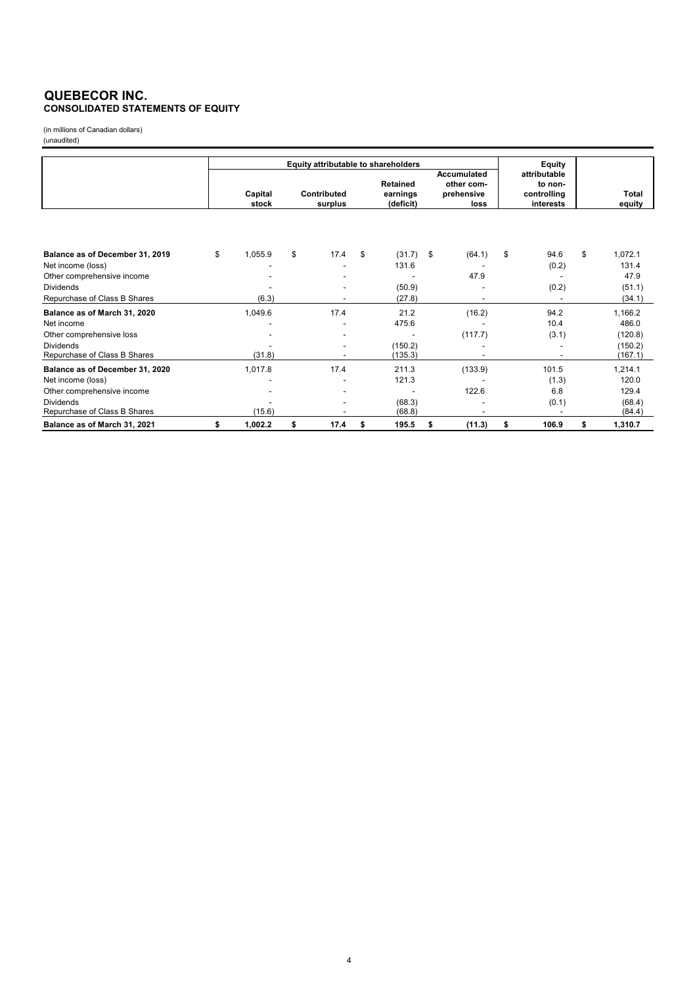#### **QUEBECOR INC. CONSOLIDATED STATEMENTS OF EQUITY**

(in millions of Canadian dollars) (unaudited)

|                                 |                  |         | Equity attributable to shareholders | Equity                                   |                                                        |                                                     |                        |
|---------------------------------|------------------|---------|-------------------------------------|------------------------------------------|--------------------------------------------------------|-----------------------------------------------------|------------------------|
|                                 | Capital<br>stock |         | Contributed<br>surplus              | <b>Retained</b><br>earnings<br>(deficit) | <b>Accumulated</b><br>other com-<br>prehensive<br>loss | attributable<br>to non-<br>controlling<br>interests | <b>Total</b><br>equity |
|                                 |                  |         |                                     |                                          |                                                        |                                                     |                        |
| Balance as of December 31, 2019 | \$               | 1,055.9 | \$<br>17.4                          | \$<br>(31.7)                             | \$<br>(64.1)                                           | \$<br>94.6                                          | \$<br>1,072.1          |
| Net income (loss)               |                  |         |                                     | 131.6                                    |                                                        | (0.2)                                               | 131.4                  |
| Other comprehensive income      |                  |         |                                     |                                          | 47.9                                                   |                                                     | 47.9                   |
| <b>Dividends</b>                |                  |         |                                     | (50.9)                                   |                                                        | (0.2)                                               | (51.1)                 |
| Repurchase of Class B Shares    |                  | (6.3)   |                                     | (27.8)                                   |                                                        |                                                     | (34.1)                 |
| Balance as of March 31, 2020    |                  | 1,049.6 | 17.4                                | 21.2                                     | (16.2)                                                 | 94.2                                                | 1,166.2                |
| Net income                      |                  |         |                                     | 475.6                                    |                                                        | 10.4                                                | 486.0                  |
| Other comprehensive loss        |                  |         |                                     |                                          | (117.7)                                                | (3.1)                                               | (120.8)                |
| <b>Dividends</b>                |                  |         |                                     | (150.2)                                  |                                                        |                                                     | (150.2)                |
| Repurchase of Class B Shares    |                  | (31.8)  |                                     | (135.3)                                  |                                                        | $\overline{\phantom{a}}$                            | (167.1)                |
| Balance as of December 31, 2020 |                  | 1,017.8 | 17.4                                | 211.3                                    | (133.9)                                                | 101.5                                               | 1,214.1                |
| Net income (loss)               |                  |         |                                     | 121.3                                    |                                                        | (1.3)                                               | 120.0                  |
| Other comprehensive income      |                  |         |                                     |                                          | 122.6                                                  | 6.8                                                 | 129.4                  |
| <b>Dividends</b>                |                  |         |                                     | (68.3)                                   |                                                        | (0.1)                                               | (68.4)                 |
| Repurchase of Class B Shares    |                  | (15.6)  |                                     | (68.8)                                   |                                                        |                                                     | (84.4)                 |
| Balance as of March 31, 2021    | \$               | 1,002.2 | \$<br>17.4                          | \$<br>195.5                              | \$<br>(11.3)                                           | \$<br>106.9                                         | \$<br>1,310.7          |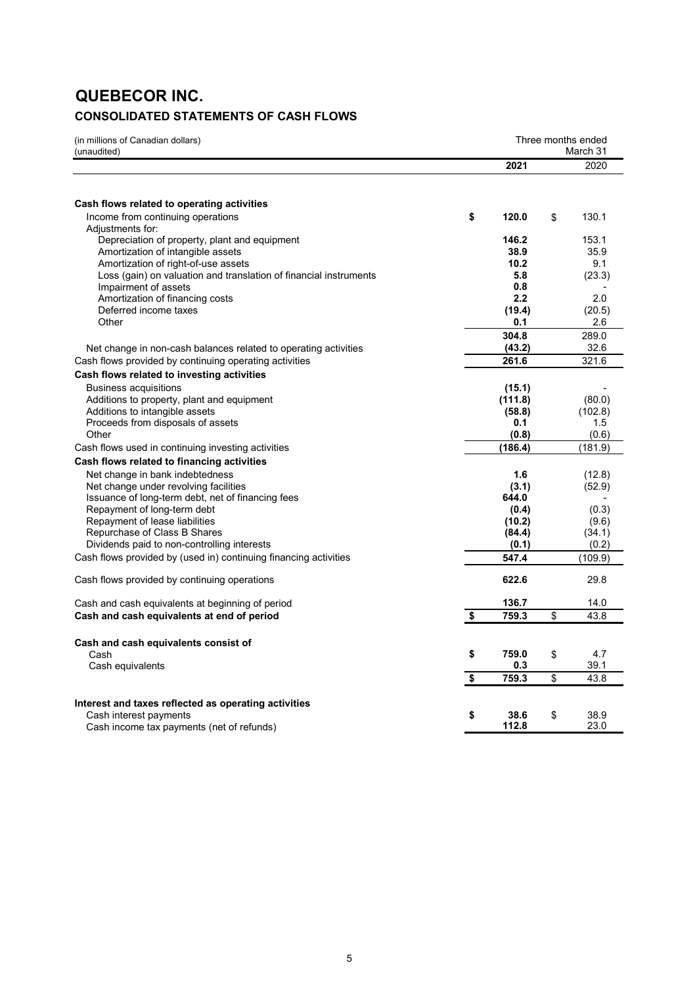# **QUEBECOR INC.**

## **CONSOLIDATED STATEMENTS OF CASH FLOWS**

| (in millions of Canadian dollars)<br>(unaudited)                  |                                      | Three months ended<br>March 31 |    |         |
|-------------------------------------------------------------------|--------------------------------------|--------------------------------|----|---------|
|                                                                   |                                      | 2021                           |    | 2020    |
|                                                                   |                                      |                                |    |         |
| Cash flows related to operating activities                        |                                      |                                |    |         |
| Income from continuing operations                                 | \$                                   | 120.0                          | \$ | 130.1   |
| Adjustments for:                                                  |                                      |                                |    |         |
| Depreciation of property, plant and equipment                     |                                      | 146.2                          |    | 153.1   |
| Amortization of intangible assets                                 |                                      | 38.9                           |    | 35.9    |
| Amortization of right-of-use assets                               |                                      | 10.2                           |    | 9.1     |
| Loss (gain) on valuation and translation of financial instruments |                                      | 5.8                            |    | (23.3)  |
| Impairment of assets                                              |                                      | 0.8                            |    |         |
| Amortization of financing costs                                   |                                      | 2.2                            |    | 2.0     |
| Deferred income taxes<br>Other                                    |                                      | (19.4)                         |    | (20.5)  |
|                                                                   |                                      | 0.1                            |    | 2.6     |
|                                                                   |                                      | 304.8                          |    | 289.0   |
| Net change in non-cash balances related to operating activities   |                                      | (43.2)                         |    | 32.6    |
| Cash flows provided by continuing operating activities            |                                      | 261.6                          |    | 321.6   |
| Cash flows related to investing activities                        |                                      |                                |    |         |
| <b>Business acquisitions</b>                                      |                                      | (15.1)                         |    |         |
| Additions to property, plant and equipment                        |                                      | (111.8)                        |    | (80.0)  |
| Additions to intangible assets                                    |                                      | (58.8)                         |    | (102.8) |
| Proceeds from disposals of assets                                 |                                      | 0.1                            |    | 1.5     |
| Other                                                             |                                      | (0.8)                          |    | (0.6)   |
| Cash flows used in continuing investing activities                |                                      | (186.4)                        |    | (181.9) |
| Cash flows related to financing activities                        |                                      |                                |    |         |
| Net change in bank indebtedness                                   |                                      | 1.6                            |    | (12.8)  |
| Net change under revolving facilities                             |                                      | (3.1)                          |    | (52.9)  |
| Issuance of long-term debt, net of financing fees                 |                                      | 644.0                          |    |         |
| Repayment of long-term debt                                       |                                      | (0.4)                          |    | (0.3)   |
| Repayment of lease liabilities                                    |                                      | (10.2)                         |    | (9.6)   |
| Repurchase of Class B Shares                                      |                                      | (84.4)                         |    | (34.1)  |
| Dividends paid to non-controlling interests                       |                                      | (0.1)                          |    | (0.2)   |
| Cash flows provided by (used in) continuing financing activities  |                                      | 547.4                          |    | (109.9) |
| Cash flows provided by continuing operations                      |                                      | 622.6                          |    | 29.8    |
| Cash and cash equivalents at beginning of period                  |                                      | 136.7                          |    | 14.0    |
| Cash and cash equivalents at end of period                        | \$                                   | 759.3                          | \$ | 43.8    |
|                                                                   |                                      |                                |    |         |
| Cash and cash equivalents consist of                              |                                      |                                |    |         |
| Cash                                                              | \$                                   | 759.0                          | \$ | 4.7     |
| Cash equivalents                                                  |                                      | 0.3                            |    | 39.1    |
|                                                                   | $\overline{\boldsymbol{\mathsf{s}}}$ | 759.3                          | \$ | 43.8    |
| Interest and taxes reflected as operating activities              |                                      |                                |    |         |
| Cash interest payments                                            | \$                                   | 38.6                           | \$ | 38.9    |
| Cash income tax payments (net of refunds)                         |                                      | 112.8                          |    | 23.0    |
|                                                                   |                                      |                                |    |         |